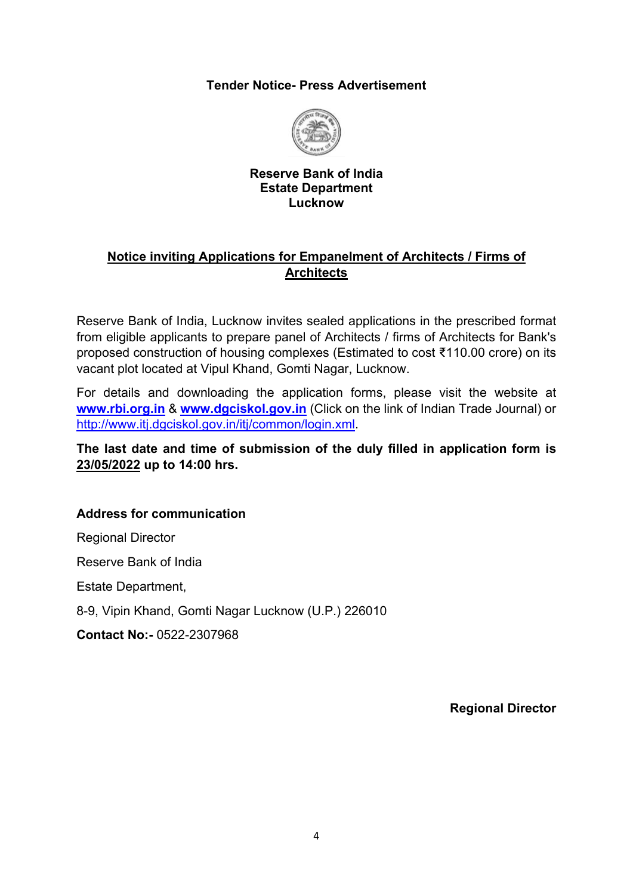#### **Tender Notice- Press Advertisement**



#### **Reserve Bank of India Estate Department Lucknow**

### **Notice inviting Applications for Empanelment of Architects / Firms of Architects**

Reserve Bank of India, Lucknow invites sealed applications in the prescribed format from eligible applicants to prepare panel of Architects / firms of Architects for Bank's proposed construction of housing complexes (Estimated to cost ₹110.00 crore) on its vacant plot located at Vipul Khand, Gomti Nagar, Lucknow.

For details and downloading the application forms, please visit the website at **[www.rbi.org.in](https://www.rbi.org.in/)** & **[www.dgciskol.gov.in](https://www.dgciskol.gov.in/)** (Click on the link of Indian Trade Journal) or [http://www.itj.dgciskol.gov.in/itj/common/login.xml.](http://www.itj.dgciskol.gov.in/itj/common/login.xml)

#### **The last date and time of submission of the duly filled in application form is 23/05/2022 up to 14:00 hrs.**

### **Address for communication**

Regional Director

Reserve Bank of India

Estate Department,

8-9, Vipin Khand, Gomti Nagar Lucknow (U.P.) 226010

**Contact No:-** 0522-2307968

**Regional Director**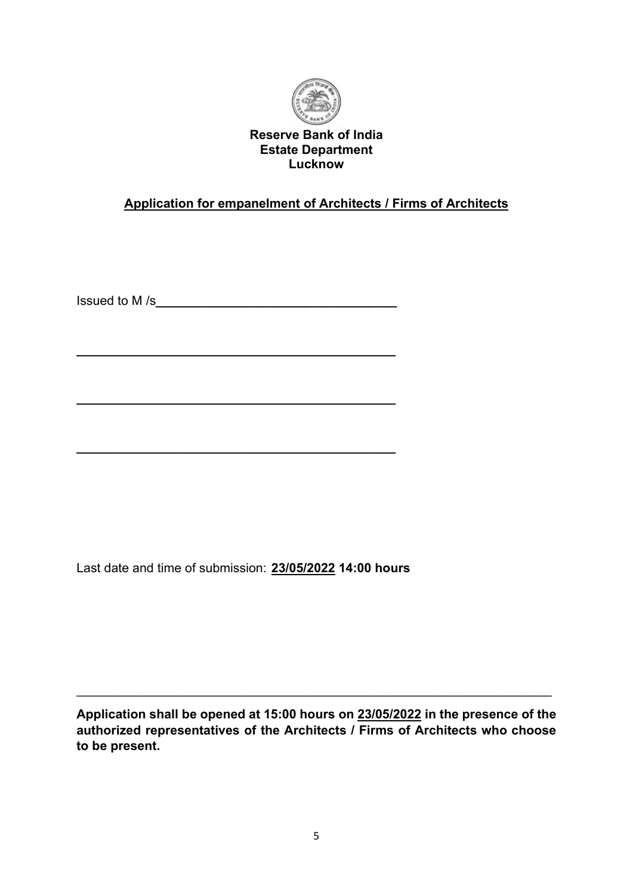

**Reserve Bank of India Estate Department Lucknow**

# **Application for empanelment of Architects / Firms of Architects**

Issued to M /s**\_\_\_\_\_\_\_\_\_\_\_\_\_\_\_\_\_\_\_\_\_\_\_\_\_\_\_\_\_\_\_\_\_\_**

**\_\_\_\_\_\_\_\_\_\_\_\_\_\_\_\_\_\_\_\_\_\_\_\_\_\_\_\_\_\_\_\_\_\_\_\_\_\_\_\_\_\_\_\_\_**

**\_\_\_\_\_\_\_\_\_\_\_\_\_\_\_\_\_\_\_\_\_\_\_\_\_\_\_\_\_\_\_\_\_\_\_\_\_\_\_\_\_\_\_\_\_**

**\_\_\_\_\_\_\_\_\_\_\_\_\_\_\_\_\_\_\_\_\_\_\_\_\_\_\_\_\_\_\_\_\_\_\_\_\_\_\_\_\_\_\_\_\_**

Last date and time of submission: **23/05/2022 14:00 hours**

**Application shall be opened at 15:00 hours on 23/05/2022 in the presence of the authorized representatives of the Architects / Firms of Architects who choose to be present.**

\_\_\_\_\_\_\_\_\_\_\_\_\_\_\_\_\_\_\_\_\_\_\_\_\_\_\_\_\_\_\_\_\_\_\_\_\_\_\_\_\_\_\_\_\_\_\_\_\_\_\_\_\_\_\_\_\_\_\_\_\_\_\_\_\_\_\_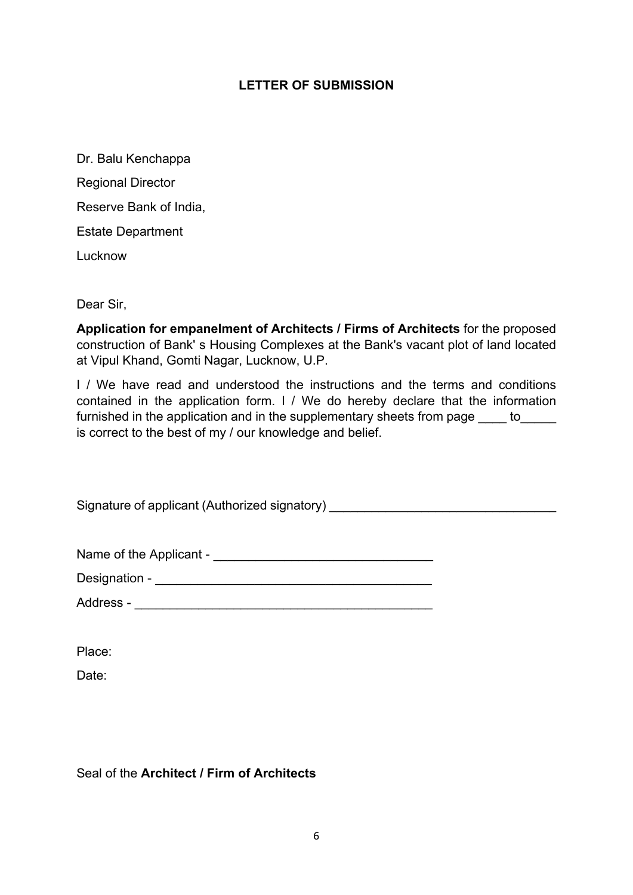#### **LETTER OF SUBMISSION**

Dr. Balu Kenchappa Regional Director Reserve Bank of India, Estate Department **Lucknow** 

Dear Sir,

**Application for empanelment of Architects / Firms of Architects** for the proposed construction of Bank' s Housing Complexes at the Bank's vacant plot of land located at Vipul Khand, Gomti Nagar, Lucknow, U.P.

I / We have read and understood the instructions and the terms and conditions contained in the application form. I / We do hereby declare that the information furnished in the application and in the supplementary sheets from page to is correct to the best of my / our knowledge and belief.

Signature of applicant (Authorized signatory) \_\_\_\_\_\_\_\_\_\_\_\_\_\_\_\_\_\_\_\_\_\_\_\_\_\_\_\_\_\_\_\_\_\_

| Name of the Applicant - |  |
|-------------------------|--|
|-------------------------|--|

| Designation - |  |
|---------------|--|
|               |  |

| Address - |  |
|-----------|--|
|           |  |

Place:

Date:

### Seal of the **Architect / Firm of Architects**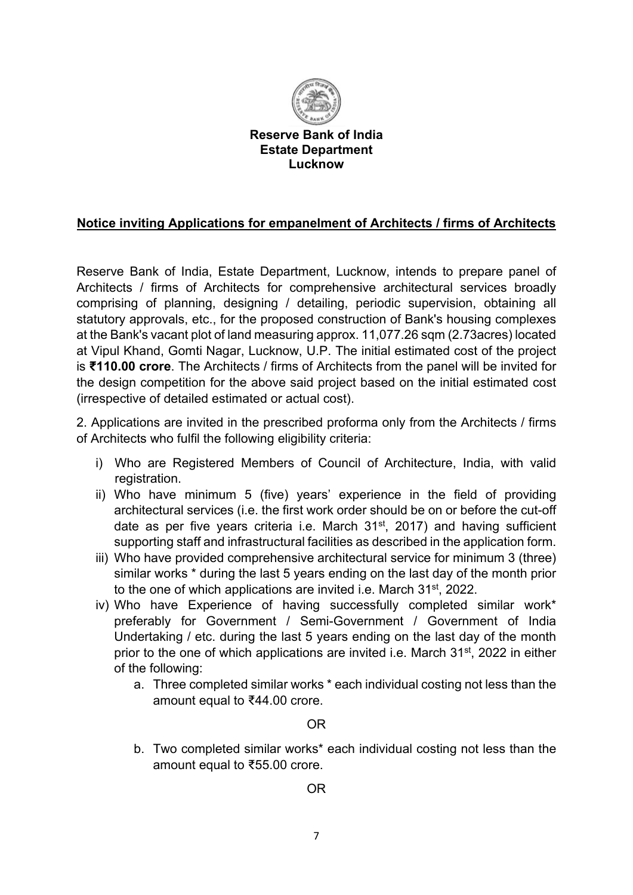

**Reserve Bank of India Estate Department Lucknow**

### **Notice inviting Applications for empanelment of Architects / firms of Architects**

Reserve Bank of India, Estate Department, Lucknow, intends to prepare panel of Architects / firms of Architects for comprehensive architectural services broadly comprising of planning, designing / detailing, periodic supervision, obtaining all statutory approvals, etc., for the proposed construction of Bank's housing complexes at the Bank's vacant plot of land measuring approx. 11,077.26 sqm (2.73acres) located at Vipul Khand, Gomti Nagar, Lucknow, U.P. The initial estimated cost of the project is **₹110.00 crore**. The Architects / firms of Architects from the panel will be invited for the design competition for the above said project based on the initial estimated cost (irrespective of detailed estimated or actual cost).

2. Applications are invited in the prescribed proforma only from the Architects / firms of Architects who fulfil the following eligibility criteria:

- i) Who are Registered Members of Council of Architecture, India, with valid registration.
- ii) Who have minimum 5 (five) years' experience in the field of providing architectural services (i.e. the first work order should be on or before the cut-off date as per five years criteria i.e. March  $31<sup>st</sup>$ , 2017) and having sufficient supporting staff and infrastructural facilities as described in the application form.
- iii) Who have provided comprehensive architectural service for minimum 3 (three) similar works \* during the last 5 years ending on the last day of the month prior to the one of which applications are invited i.e. March 31st, 2022.
- iv) Who have Experience of having successfully completed similar work\* preferably for Government / Semi-Government / Government of India Undertaking / etc. during the last 5 years ending on the last day of the month prior to the one of which applications are invited i.e. March 31st, 2022 in either of the following:
	- a. Three completed similar works \* each individual costing not less than the amount equal to ₹44.00 crore.

### OR

b. Two completed similar works\* each individual costing not less than the amount equal to ₹55.00 crore.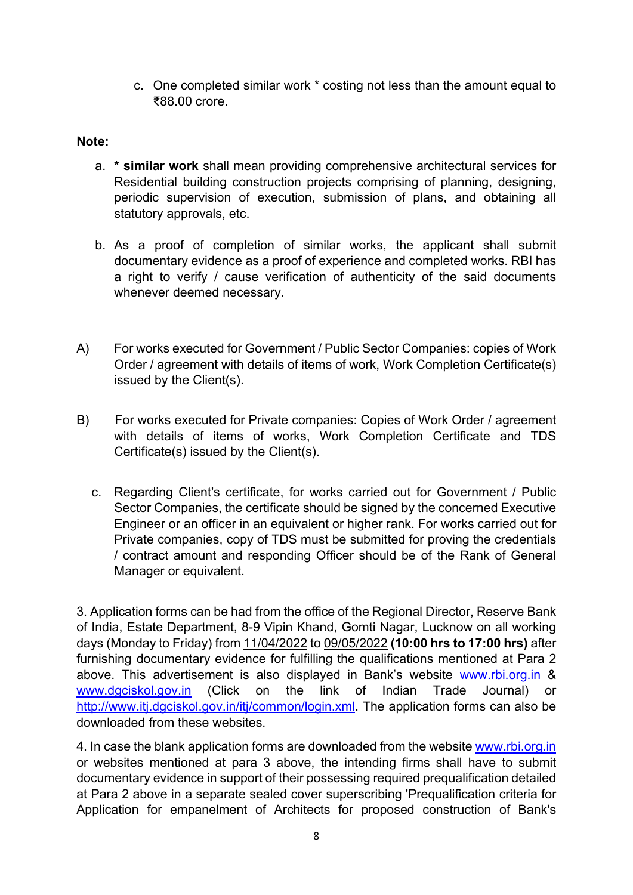c. One completed similar work \* costing not less than the amount equal to ₹88.00 crore.

#### **Note:**

- a. **\* similar work** shall mean providing comprehensive architectural services for Residential building construction projects comprising of planning, designing, periodic supervision of execution, submission of plans, and obtaining all statutory approvals, etc.
- b. As a proof of completion of similar works, the applicant shall submit documentary evidence as a proof of experience and completed works. RBI has a right to verify / cause verification of authenticity of the said documents whenever deemed necessary.
- A) For works executed for Government / Public Sector Companies: copies of Work Order / agreement with details of items of work, Work Completion Certificate(s) issued by the Client(s).
- B) For works executed for Private companies: Copies of Work Order / agreement with details of items of works, Work Completion Certificate and TDS Certificate(s) issued by the Client(s).
	- c. Regarding Client's certificate, for works carried out for Government / Public Sector Companies, the certificate should be signed by the concerned Executive Engineer or an officer in an equivalent or higher rank. For works carried out for Private companies, copy of TDS must be submitted for proving the credentials / contract amount and responding Officer should be of the Rank of General Manager or equivalent.

3. Application forms can be had from the office of the Regional Director, Reserve Bank of India, Estate Department, 8-9 Vipin Khand, Gomti Nagar, Lucknow on all working days (Monday to Friday) from 11/04/2022 to 09/05/2022 **(10:00 hrs to 17:00 hrs)** after furnishing documentary evidence for fulfilling the qualifications mentioned at Para 2 above. This advertisement is also displayed in Bank's website [www.rbi.org.in](https://www.rbi.org.in/) & [www.dgciskol.gov.in](https://www.dgciskol.gov.in/) (Click on the link of Indian Trade Journal) or [http://www.itj.dgciskol.gov.in/itj/common/login.xml.](http://www.itj.dgciskol.gov.in/itj/common/login.xml) The application forms can also be downloaded from these websites.

4. In case the blank application forms are downloaded from the website [www.rbi.org.in](https://www.rbi.org.in/) or websites mentioned at para 3 above, the intending firms shall have to submit documentary evidence in support of their possessing required prequalification detailed at Para 2 above in a separate sealed cover superscribing 'Prequalification criteria for Application for empanelment of Architects for proposed construction of Bank's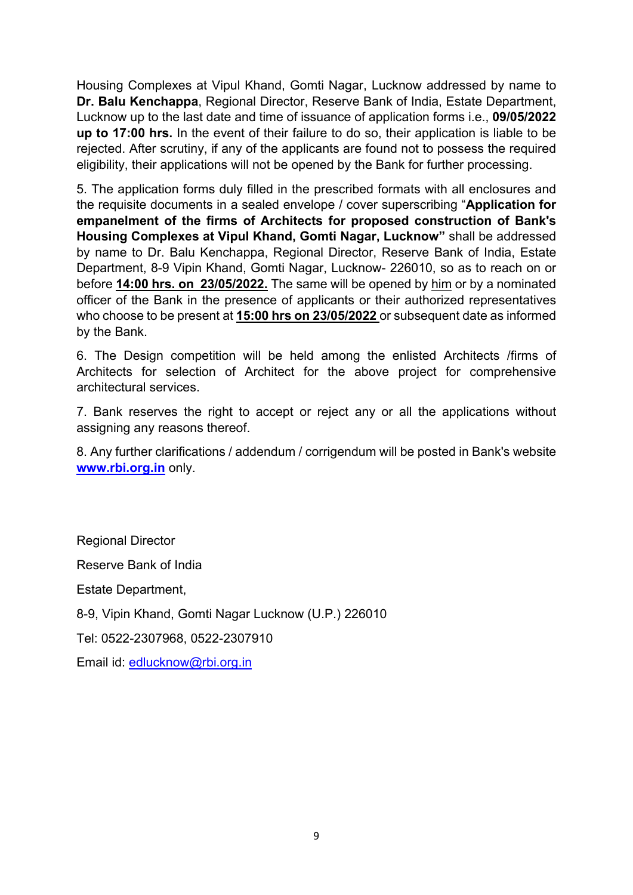Housing Complexes at Vipul Khand, Gomti Nagar, Lucknow addressed by name to **Dr. Balu Kenchappa**, Regional Director, Reserve Bank of India, Estate Department, Lucknow up to the last date and time of issuance of application forms i.e., **09/05/2022 up to 17:00 hrs.** In the event of their failure to do so, their application is liable to be rejected. After scrutiny, if any of the applicants are found not to possess the required eligibility, their applications will not be opened by the Bank for further processing.

5. The application forms duly filled in the prescribed formats with all enclosures and the requisite documents in a sealed envelope / cover superscribing "**Application for empanelment of the firms of Architects for proposed construction of Bank's Housing Complexes at Vipul Khand, Gomti Nagar, Lucknow"** shall be addressed by name to Dr. Balu Kenchappa, Regional Director, Reserve Bank of India, Estate Department, 8-9 Vipin Khand, Gomti Nagar, Lucknow- 226010, so as to reach on or before **14:00 hrs. on 23/05/2022.** The same will be opened by him or by a nominated officer of the Bank in the presence of applicants or their authorized representatives who choose to be present at **15:00 hrs on 23/05/2022** or subsequent date as informed by the Bank.

6. The Design competition will be held among the enlisted Architects /firms of Architects for selection of Architect for the above project for comprehensive architectural services.

7. Bank reserves the right to accept or reject any or all the applications without assigning any reasons thereof.

8. Any further clarifications / addendum / corrigendum will be posted in Bank's website **[www.rbi.org.in](https://www.rbi.org.in/)** only.

Regional Director Reserve Bank of India Estate Department, 8-9, Vipin Khand, Gomti Nagar Lucknow (U.P.) 226010 Tel: 0522-2307968, 0522-2307910

Email id: [edlucknow@rbi.org.in](mailto:edlucknow@rbi.org.in)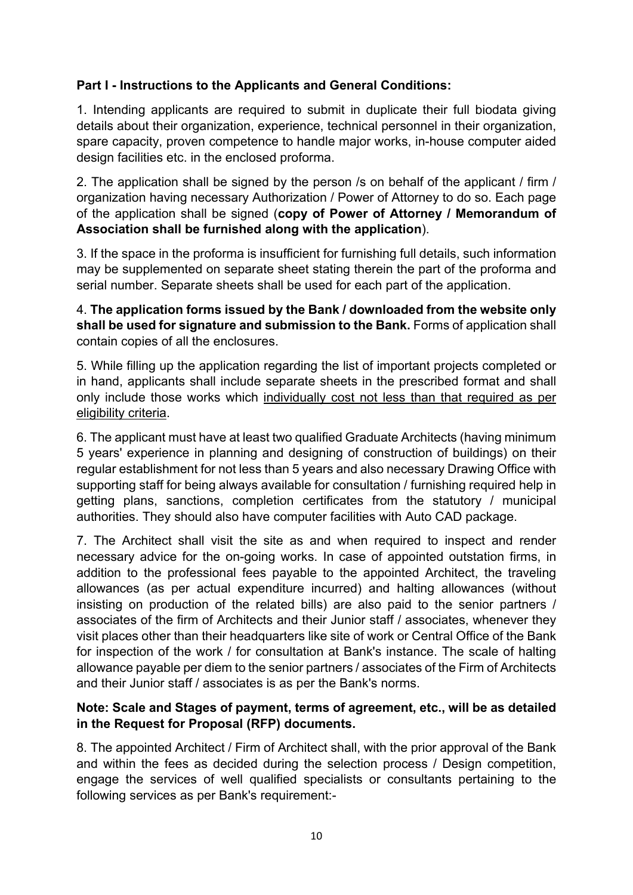## **Part I - Instructions to the Applicants and General Conditions:**

1. Intending applicants are required to submit in duplicate their full biodata giving details about their organization, experience, technical personnel in their organization, spare capacity, proven competence to handle major works, in-house computer aided design facilities etc. in the enclosed proforma.

2. The application shall be signed by the person /s on behalf of the applicant / firm / organization having necessary Authorization / Power of Attorney to do so. Each page of the application shall be signed (**copy of Power of Attorney / Memorandum of Association shall be furnished along with the application**).

3. If the space in the proforma is insufficient for furnishing full details, such information may be supplemented on separate sheet stating therein the part of the proforma and serial number. Separate sheets shall be used for each part of the application.

4. **The application forms issued by the Bank / downloaded from the website only shall be used for signature and submission to the Bank.** Forms of application shall contain copies of all the enclosures.

5. While filling up the application regarding the list of important projects completed or in hand, applicants shall include separate sheets in the prescribed format and shall only include those works which individually cost not less than that required as per eligibility criteria.

6. The applicant must have at least two qualified Graduate Architects (having minimum 5 years' experience in planning and designing of construction of buildings) on their regular establishment for not less than 5 years and also necessary Drawing Office with supporting staff for being always available for consultation / furnishing required help in getting plans, sanctions, completion certificates from the statutory / municipal authorities. They should also have computer facilities with Auto CAD package.

7. The Architect shall visit the site as and when required to inspect and render necessary advice for the on-going works. In case of appointed outstation firms, in addition to the professional fees payable to the appointed Architect, the traveling allowances (as per actual expenditure incurred) and halting allowances (without insisting on production of the related bills) are also paid to the senior partners / associates of the firm of Architects and their Junior staff / associates, whenever they visit places other than their headquarters like site of work or Central Office of the Bank for inspection of the work / for consultation at Bank's instance. The scale of halting allowance payable per diem to the senior partners / associates of the Firm of Architects and their Junior staff / associates is as per the Bank's norms.

#### **Note: Scale and Stages of payment, terms of agreement, etc., will be as detailed in the Request for Proposal (RFP) documents.**

8. The appointed Architect / Firm of Architect shall, with the prior approval of the Bank and within the fees as decided during the selection process / Design competition, engage the services of well qualified specialists or consultants pertaining to the following services as per Bank's requirement:-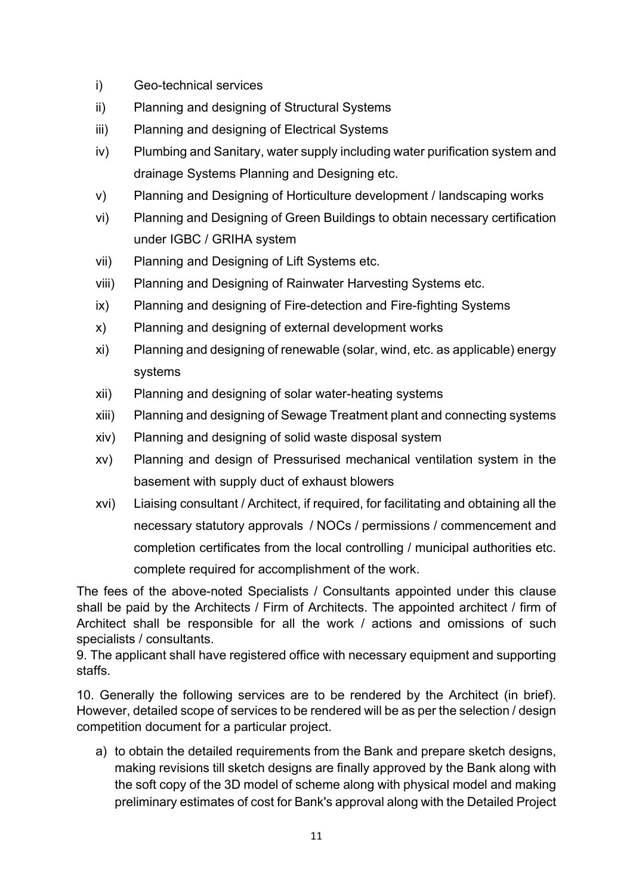- i) Geo-technical services
- ii) Planning and designing of Structural Systems
- iii) Planning and designing of Electrical Systems
- iv) Plumbing and Sanitary, water supply including water purification system and drainage Systems Planning and Designing etc.
- v) Planning and Designing of Horticulture development / landscaping works
- vi) Planning and Designing of Green Buildings to obtain necessary certification under IGBC / GRIHA system
- vii) Planning and Designing of Lift Systems etc.
- viii) Planning and Designing of Rainwater Harvesting Systems etc.
- ix) Planning and designing of Fire-detection and Fire-fighting Systems
- x) Planning and designing of external development works
- xi) Planning and designing of renewable (solar, wind, etc. as applicable) energy systems
- xii) Planning and designing of solar water-heating systems
- xiii) Planning and designing of Sewage Treatment plant and connecting systems
- xiv) Planning and designing of solid waste disposal system
- xv) Planning and design of Pressurised mechanical ventilation system in the basement with supply duct of exhaust blowers
- xvi) Liaising consultant / Architect, if required, for facilitating and obtaining all the necessary statutory approvals / NOCs / permissions / commencement and completion certificates from the local controlling / municipal authorities etc. complete required for accomplishment of the work.

The fees of the above-noted Specialists / Consultants appointed under this clause shall be paid by the Architects / Firm of Architects. The appointed architect / firm of Architect shall be responsible for all the work / actions and omissions of such specialists / consultants.

9. The applicant shall have registered office with necessary equipment and supporting staffs.

10. Generally the following services are to be rendered by the Architect (in brief). However, detailed scope of services to be rendered will be as per the selection / design competition document for a particular project.

a) to obtain the detailed requirements from the Bank and prepare sketch designs, making revisions till sketch designs are finally approved by the Bank along with the soft copy of the 3D model of scheme along with physical model and making preliminary estimates of cost for Bank's approval along with the Detailed Project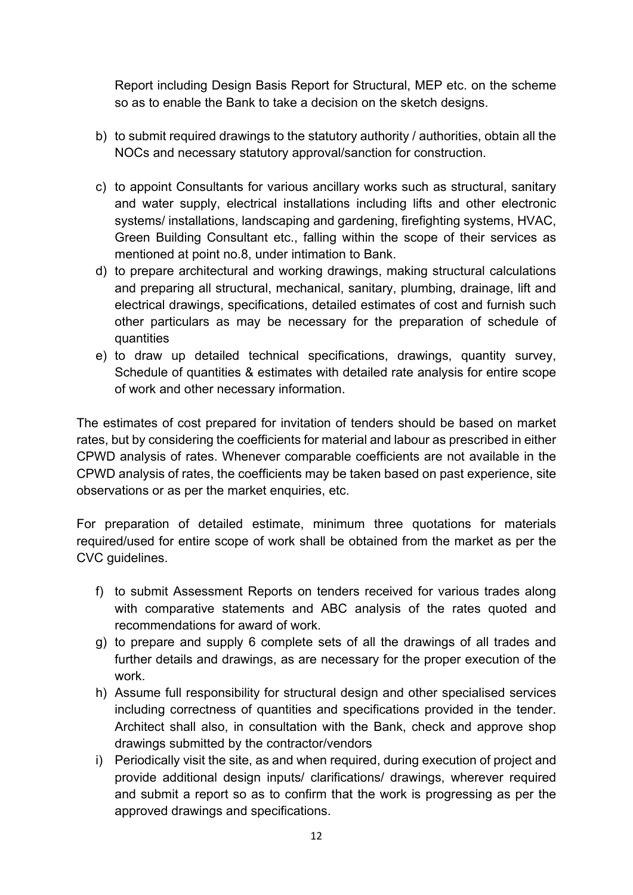Report including Design Basis Report for Structural, MEP etc. on the scheme so as to enable the Bank to take a decision on the sketch designs.

- b) to submit required drawings to the statutory authority / authorities, obtain all the NOCs and necessary statutory approval/sanction for construction.
- c) to appoint Consultants for various ancillary works such as structural, sanitary and water supply, electrical installations including lifts and other electronic systems/ installations, landscaping and gardening, firefighting systems, HVAC, Green Building Consultant etc., falling within the scope of their services as mentioned at point no.8, under intimation to Bank.
- d) to prepare architectural and working drawings, making structural calculations and preparing all structural, mechanical, sanitary, plumbing, drainage, lift and electrical drawings, specifications, detailed estimates of cost and furnish such other particulars as may be necessary for the preparation of schedule of quantities
- e) to draw up detailed technical specifications, drawings, quantity survey, Schedule of quantities & estimates with detailed rate analysis for entire scope of work and other necessary information.

The estimates of cost prepared for invitation of tenders should be based on market rates, but by considering the coefficients for material and labour as prescribed in either CPWD analysis of rates. Whenever comparable coefficients are not available in the CPWD analysis of rates, the coefficients may be taken based on past experience, site observations or as per the market enquiries, etc.

For preparation of detailed estimate, minimum three quotations for materials required/used for entire scope of work shall be obtained from the market as per the CVC guidelines.

- f) to submit Assessment Reports on tenders received for various trades along with comparative statements and ABC analysis of the rates quoted and recommendations for award of work.
- g) to prepare and supply 6 complete sets of all the drawings of all trades and further details and drawings, as are necessary for the proper execution of the work.
- h) Assume full responsibility for structural design and other specialised services including correctness of quantities and specifications provided in the tender. Architect shall also, in consultation with the Bank, check and approve shop drawings submitted by the contractor/vendors
- i) Periodically visit the site, as and when required, during execution of project and provide additional design inputs/ clarifications/ drawings, wherever required and submit a report so as to confirm that the work is progressing as per the approved drawings and specifications.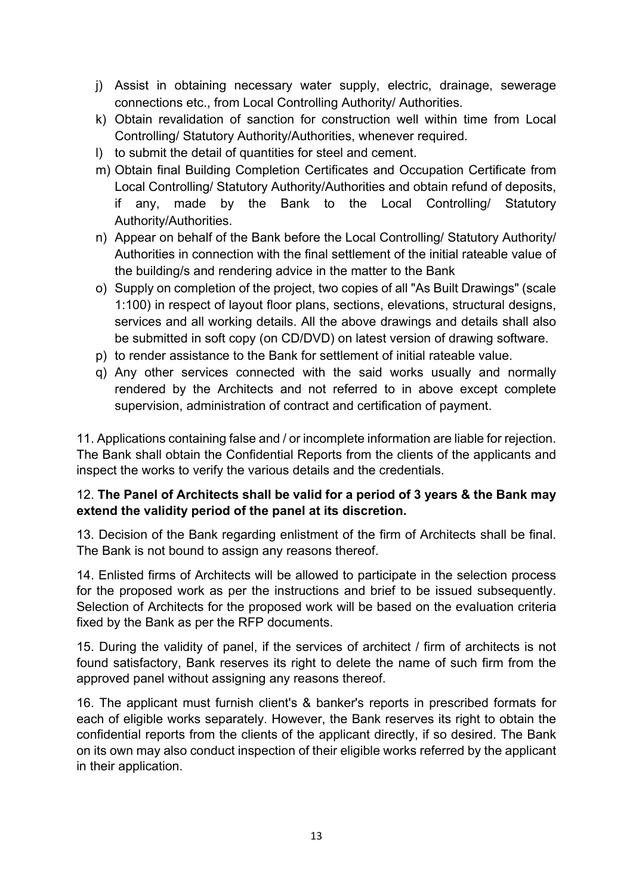- j) Assist in obtaining necessary water supply, electric, drainage, sewerage connections etc., from Local Controlling Authority/ Authorities.
- k) Obtain revalidation of sanction for construction well within time from Local Controlling/ Statutory Authority/Authorities, whenever required.
- l) to submit the detail of quantities for steel and cement.
- m) Obtain final Building Completion Certificates and Occupation Certificate from Local Controlling/ Statutory Authority/Authorities and obtain refund of deposits, if any, made by the Bank to the Local Controlling/ Statutory Authority/Authorities.
- n) Appear on behalf of the Bank before the Local Controlling/ Statutory Authority/ Authorities in connection with the final settlement of the initial rateable value of the building/s and rendering advice in the matter to the Bank
- o) Supply on completion of the project, two copies of all "As Built Drawings" (scale 1:100) in respect of layout floor plans, sections, elevations, structural designs, services and all working details. All the above drawings and details shall also be submitted in soft copy (on CD/DVD) on latest version of drawing software.
- p) to render assistance to the Bank for settlement of initial rateable value.
- q) Any other services connected with the said works usually and normally rendered by the Architects and not referred to in above except complete supervision, administration of contract and certification of payment.

11. Applications containing false and / or incomplete information are liable for rejection. The Bank shall obtain the Confidential Reports from the clients of the applicants and inspect the works to verify the various details and the credentials.

### 12. **The Panel of Architects shall be valid for a period of 3 years & the Bank may extend the validity period of the panel at its discretion.**

13. Decision of the Bank regarding enlistment of the firm of Architects shall be final. The Bank is not bound to assign any reasons thereof.

14. Enlisted firms of Architects will be allowed to participate in the selection process for the proposed work as per the instructions and brief to be issued subsequently. Selection of Architects for the proposed work will be based on the evaluation criteria fixed by the Bank as per the RFP documents.

15. During the validity of panel, if the services of architect / firm of architects is not found satisfactory, Bank reserves its right to delete the name of such firm from the approved panel without assigning any reasons thereof.

16. The applicant must furnish client's & banker's reports in prescribed formats for each of eligible works separately. However, the Bank reserves its right to obtain the confidential reports from the clients of the applicant directly, if so desired. The Bank on its own may also conduct inspection of their eligible works referred by the applicant in their application.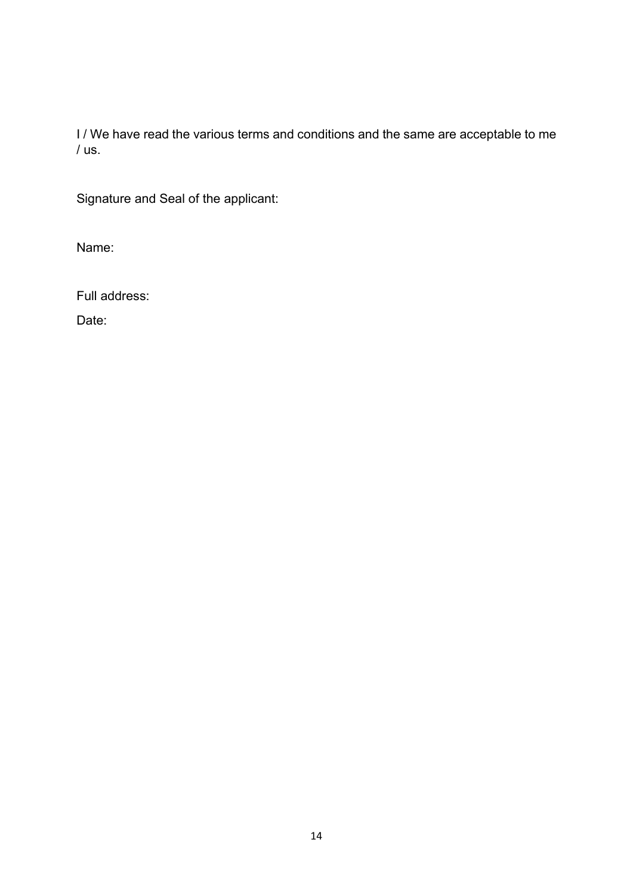I / We have read the various terms and conditions and the same are acceptable to me / us.

Signature and Seal of the applicant:

Name:

Full address:

Date: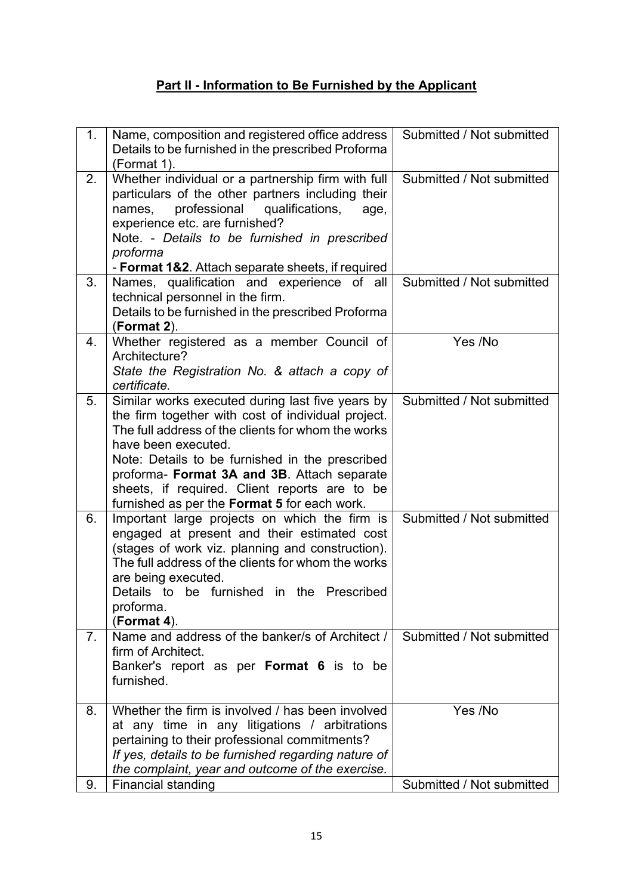# **Part II - Information to Be Furnished by the Applicant**

| 1 <sub>1</sub> | Name, composition and registered office address<br>Details to be furnished in the prescribed Proforma<br>(Format 1).                                                                                                                                                                                                                                                                   | Submitted / Not submitted |
|----------------|----------------------------------------------------------------------------------------------------------------------------------------------------------------------------------------------------------------------------------------------------------------------------------------------------------------------------------------------------------------------------------------|---------------------------|
| 2.             | Whether individual or a partnership firm with full<br>particulars of the other partners including their<br>professional<br>qualifications,<br>names,<br>age,<br>experience etc. are furnished?<br>Note. - Details to be furnished in prescribed<br>proforma<br>- Format 1&2. Attach separate sheets, if required                                                                       | Submitted / Not submitted |
| 3.             | Names, qualification and experience of all<br>technical personnel in the firm.<br>Details to be furnished in the prescribed Proforma<br>(Format 2).                                                                                                                                                                                                                                    | Submitted / Not submitted |
| 4.             | Whether registered as a member Council of<br>Architecture?<br>State the Registration No. & attach a copy of<br>certificate.                                                                                                                                                                                                                                                            | Yes /No                   |
| 5.             | Similar works executed during last five years by<br>the firm together with cost of individual project.<br>The full address of the clients for whom the works<br>have been executed.<br>Note: Details to be furnished in the prescribed<br>proforma- Format 3A and 3B. Attach separate<br>sheets, if required. Client reports are to be<br>furnished as per the Format 5 for each work. | Submitted / Not submitted |
| 6.             | Important large projects on which the firm is<br>engaged at present and their estimated cost<br>(stages of work viz. planning and construction).<br>The full address of the clients for whom the works<br>are being executed.<br>Details to be furnished in the Prescribed<br>proforma.<br>(Format 4).                                                                                 | Submitted / Not submitted |
| 7 <sub>1</sub> | Name and address of the banker/s of Architect /<br>firm of Architect.<br>Banker's report as per Format 6 is to be<br>furnished.                                                                                                                                                                                                                                                        | Submitted / Not submitted |
| 8.             | Whether the firm is involved / has been involved<br>at any time in any litigations / arbitrations<br>pertaining to their professional commitments?<br>If yes, details to be furnished regarding nature of<br>the complaint, year and outcome of the exercise.                                                                                                                          | Yes /No                   |
| 9.             | <b>Financial standing</b>                                                                                                                                                                                                                                                                                                                                                              | Submitted / Not submitted |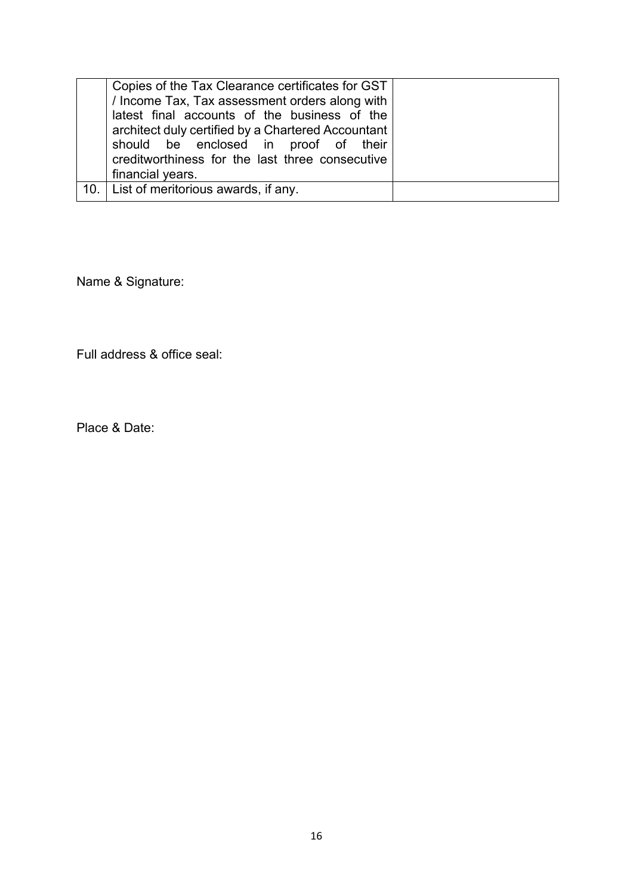| 10. List of meritorious awards, if any. | Copies of the Tax Clearance certificates for GST<br>/ Income Tax, Tax assessment orders along with<br>latest final accounts of the business of the<br>architect duly certified by a Chartered Accountant<br>should be enclosed in proof of their<br>creditworthiness for the last three consecutive<br>financial years. |  |
|-----------------------------------------|-------------------------------------------------------------------------------------------------------------------------------------------------------------------------------------------------------------------------------------------------------------------------------------------------------------------------|--|
|                                         |                                                                                                                                                                                                                                                                                                                         |  |

Name & Signature:

Full address & office seal:

Place & Date: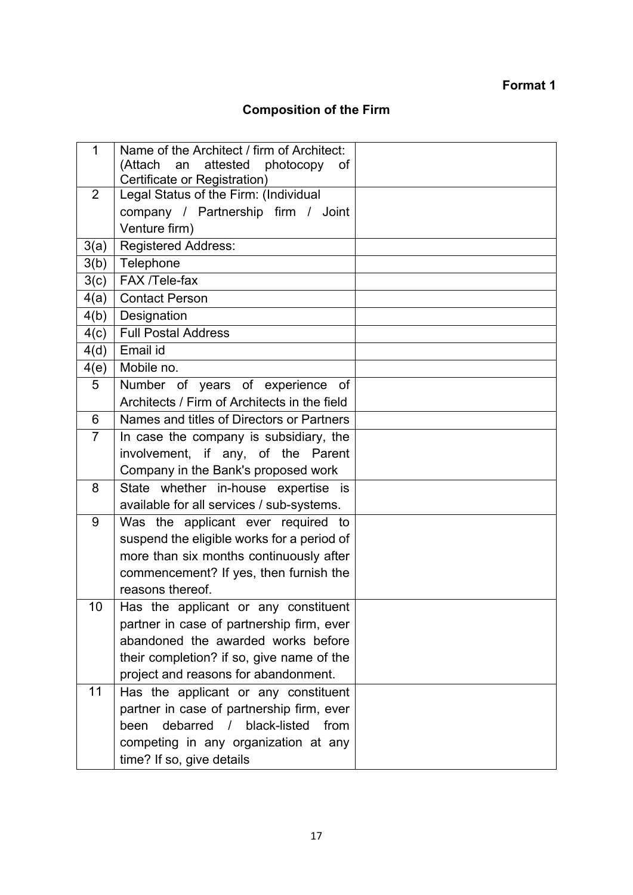# **Format 1**

# **Composition of the Firm**

| 1              | Name of the Architect / firm of Architect:   |  |
|----------------|----------------------------------------------|--|
|                | attested photocopy<br>(Attach<br>an<br>0f    |  |
|                | Certificate or Registration)                 |  |
| 2              | Legal Status of the Firm: (Individual        |  |
|                | company / Partnership firm / Joint           |  |
|                | Venture firm)                                |  |
| 3(a)           | <b>Registered Address:</b>                   |  |
| 3(b)           | Telephone                                    |  |
| 3(c)           | FAX /Tele-fax                                |  |
| 4(a)           | <b>Contact Person</b>                        |  |
| 4(b)           | Designation                                  |  |
| 4(c)           | <b>Full Postal Address</b>                   |  |
| 4(d)           | Email id                                     |  |
| 4(e)           | Mobile no.                                   |  |
| 5              | Number of years of experience of             |  |
|                | Architects / Firm of Architects in the field |  |
| 6              | Names and titles of Directors or Partners    |  |
| $\overline{7}$ | In case the company is subsidiary, the       |  |
|                | involvement, if any, of the Parent           |  |
|                | Company in the Bank's proposed work          |  |
| 8              | State whether in-house expertise is          |  |
|                | available for all services / sub-systems.    |  |
| 9              | Was the applicant ever required to           |  |
|                | suspend the eligible works for a period of   |  |
|                | more than six months continuously after      |  |
|                | commencement? If yes, then furnish the       |  |
|                | reasons thereof.                             |  |
| 10             | Has the applicant or any constituent         |  |
|                | partner in case of partnership firm, ever    |  |
|                | abandoned the awarded works before           |  |
|                | their completion? if so, give name of the    |  |
|                | project and reasons for abandonment.         |  |
| 11             | Has the applicant or any constituent         |  |
|                | partner in case of partnership firm, ever    |  |
|                | debarred / black-listed<br>from<br>been      |  |
|                | competing in any organization at any         |  |
|                | time? If so, give details                    |  |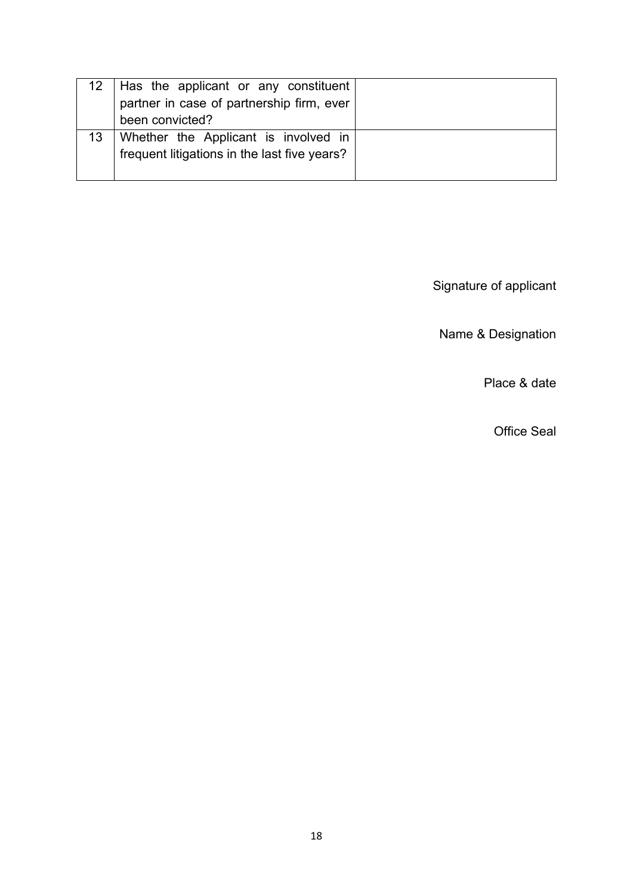|    | 12   Has the applicant or any constituent    |  |
|----|----------------------------------------------|--|
|    | partner in case of partnership firm, ever    |  |
|    | been convicted?                              |  |
| 13 | Whether the Applicant is involved in         |  |
|    | frequent litigations in the last five years? |  |
|    |                                              |  |

Signature of applicant

Name & Designation

Place & date

Office Seal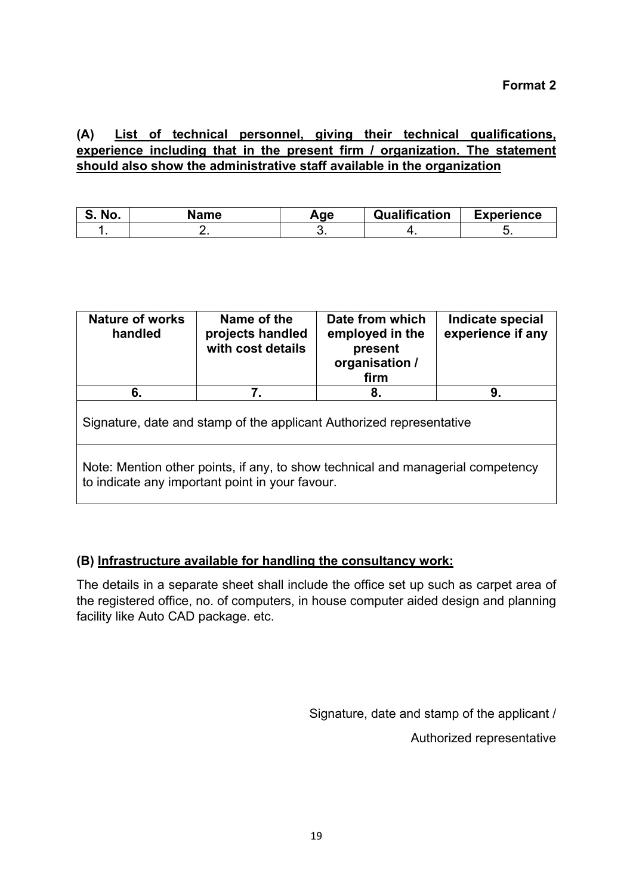**(A) List of technical personnel, giving their technical qualifications, experience including that in the present firm / organization. The statement should also show the administrative staff available in the organization**

| No.<br>o. | Name | Age | Qualification | <b>Experience</b> |
|-----------|------|-----|---------------|-------------------|
|           |      |     |               |                   |

| <b>Nature of works</b><br>handled                                                                                                  | Date from which<br>employed in the<br>present<br>organisation /<br>firm | Indicate special<br>experience if any |  |  |  |  |  |
|------------------------------------------------------------------------------------------------------------------------------------|-------------------------------------------------------------------------|---------------------------------------|--|--|--|--|--|
| 6.                                                                                                                                 | 9.                                                                      |                                       |  |  |  |  |  |
| Signature, date and stamp of the applicant Authorized representative                                                               |                                                                         |                                       |  |  |  |  |  |
| Note: Mention other points, if any, to show technical and managerial competency<br>to indicate any important point in your favour. |                                                                         |                                       |  |  |  |  |  |

### **(B) Infrastructure available for handling the consultancy work:**

The details in a separate sheet shall include the office set up such as carpet area of the registered office, no. of computers, in house computer aided design and planning facility like Auto CAD package. etc.

Signature, date and stamp of the applicant /

Authorized representative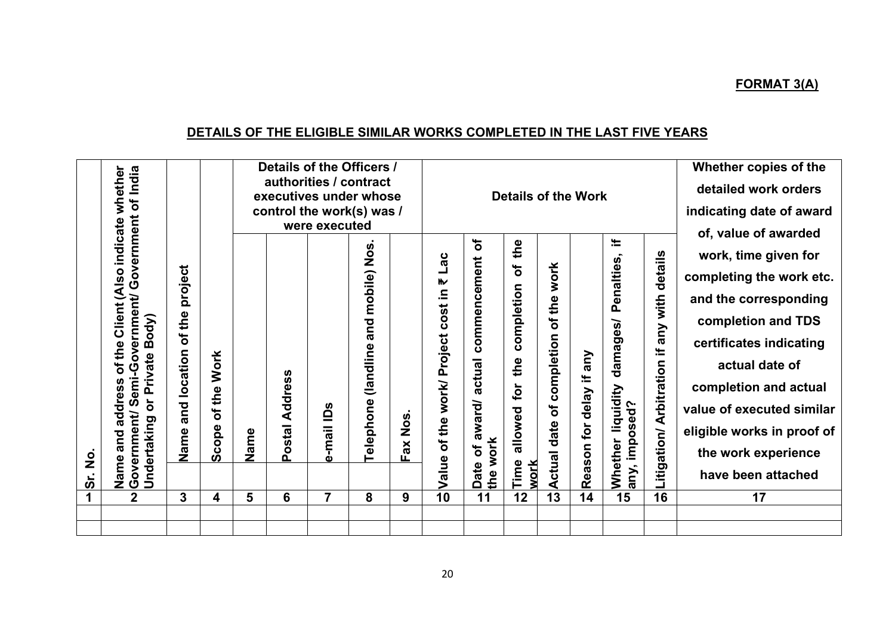# **DETAILS OF THE ELIGIBLE SIMILAR WORKS COMPLETED IN THE LAST FIVE YEARS**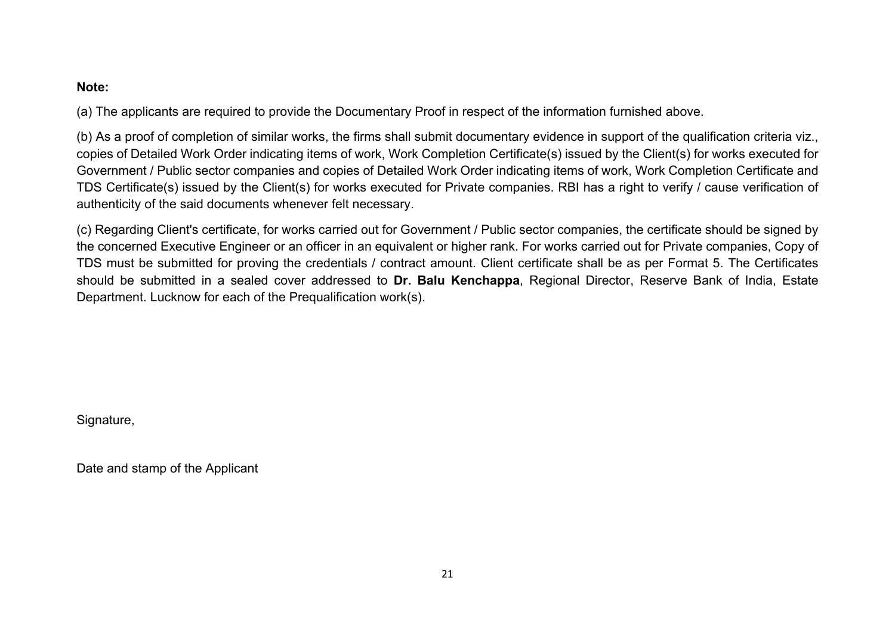#### **Note:**

(a) The applicants are required to provide the Documentary Proof in respect of the information furnished above.

(b) As a proof of completion of similar works, the firms shall submit documentary evidence in support of the qualification criteria viz., copies of Detailed Work Order indicating items of work, Work Completion Certificate(s) issued by the Client(s) for works executed for Government / Public sector companies and copies of Detailed Work Order indicating items of work, Work Completion Certificate and TDS Certificate(s) issued by the Client(s) for works executed for Private companies. RBI has a right to verify / cause verification of authenticity of the said documents whenever felt necessary.

(c) Regarding Client's certificate, for works carried out for Government / Public sector companies, the certificate should be signed by the concerned Executive Engineer or an officer in an equivalent or higher rank. For works carried out for Private companies, Copy of TDS must be submitted for proving the credentials / contract amount. Client certificate shall be as per Format 5. The Certificates should be submitted in a sealed cover addressed to **Dr. Balu Kenchappa**, Regional Director, Reserve Bank of India, Estate Department. Lucknow for each of the Prequalification work(s).

Signature,

Date and stamp of the Applicant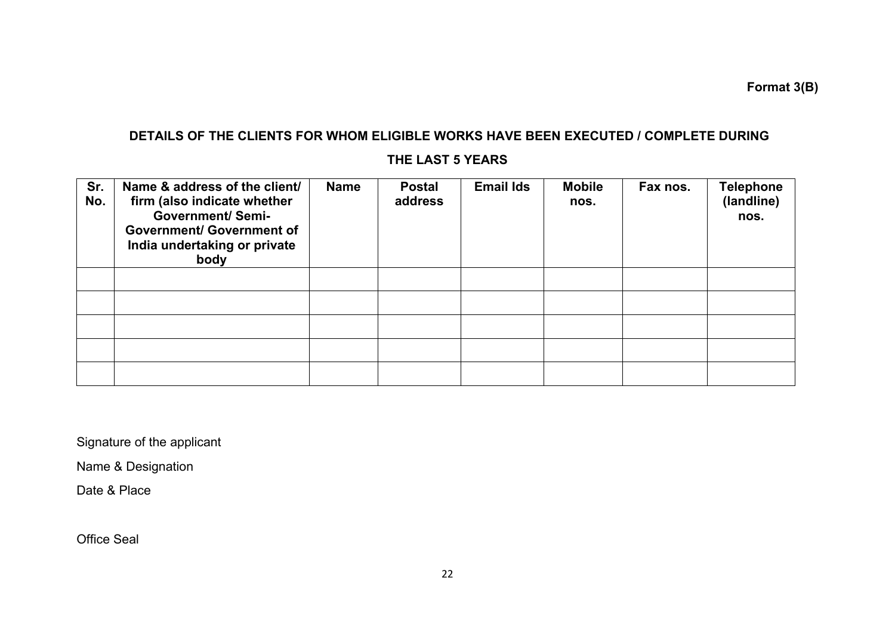**Format 3(B)**

# **DETAILS OF THE CLIENTS FOR WHOM ELIGIBLE WORKS HAVE BEEN EXECUTED / COMPLETE DURING**

## **THE LAST 5 YEARS**

| Sr.<br>No. | Name & address of the client/<br>firm (also indicate whether<br><b>Government/Semi-</b><br><b>Government/ Government of</b><br>India undertaking or private<br>body | <b>Name</b> | <b>Postal</b><br>address | <b>Email Ids</b> | <b>Mobile</b><br>nos. | Fax nos. | <b>Telephone</b><br>(landline)<br>nos. |
|------------|---------------------------------------------------------------------------------------------------------------------------------------------------------------------|-------------|--------------------------|------------------|-----------------------|----------|----------------------------------------|
|            |                                                                                                                                                                     |             |                          |                  |                       |          |                                        |
|            |                                                                                                                                                                     |             |                          |                  |                       |          |                                        |
|            |                                                                                                                                                                     |             |                          |                  |                       |          |                                        |
|            |                                                                                                                                                                     |             |                          |                  |                       |          |                                        |
|            |                                                                                                                                                                     |             |                          |                  |                       |          |                                        |

Signature of the applicant

Name & Designation

Date & Place

Office Seal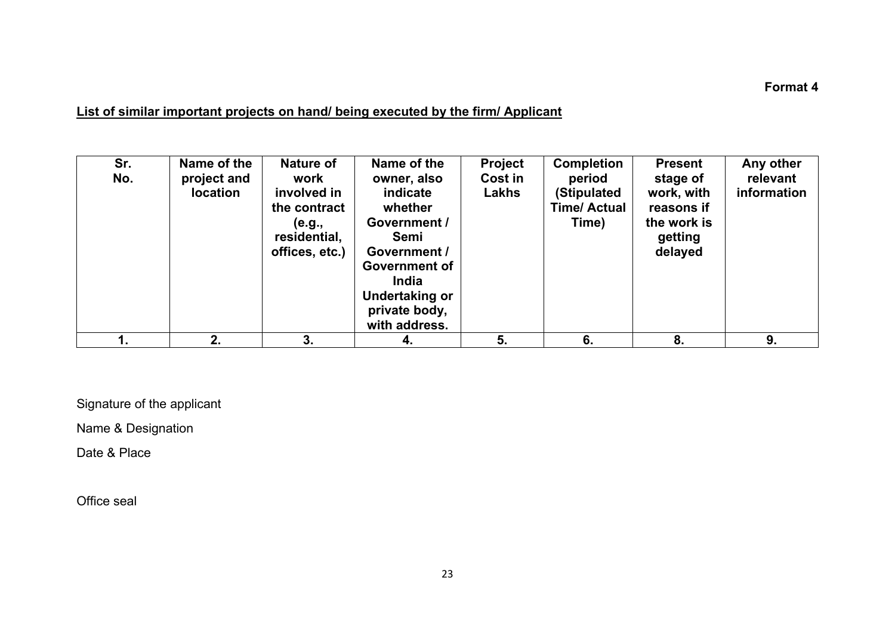#### **Format 4**

# **List of similar important projects on hand/ being executed by the firm/ Applicant**

| Sr.<br>No. | Name of the<br>project and<br><b>location</b> | Nature of<br>work<br>involved in<br>the contract<br>(e.g.,<br>residential,<br>offices, etc.) | Name of the<br>owner, also<br>indicate<br>whether<br>Government /<br><b>Semi</b><br>Government /<br><b>Government of</b><br><b>India</b><br>Undertaking or<br>private body,<br>with address. | <b>Project</b><br>Cost in<br>Lakhs | <b>Completion</b><br>period<br>(Stipulated<br><b>Time/ Actual</b><br>Time) | <b>Present</b><br>stage of<br>work, with<br>reasons if<br>the work is<br>getting<br>delayed | Any other<br>relevant<br>information |
|------------|-----------------------------------------------|----------------------------------------------------------------------------------------------|----------------------------------------------------------------------------------------------------------------------------------------------------------------------------------------------|------------------------------------|----------------------------------------------------------------------------|---------------------------------------------------------------------------------------------|--------------------------------------|
|            | 2.                                            | 3.                                                                                           | 4.                                                                                                                                                                                           | 5.                                 | 6.                                                                         | 8.                                                                                          | 9.                                   |

Signature of the applicant

Name & Designation

Date & Place

Office seal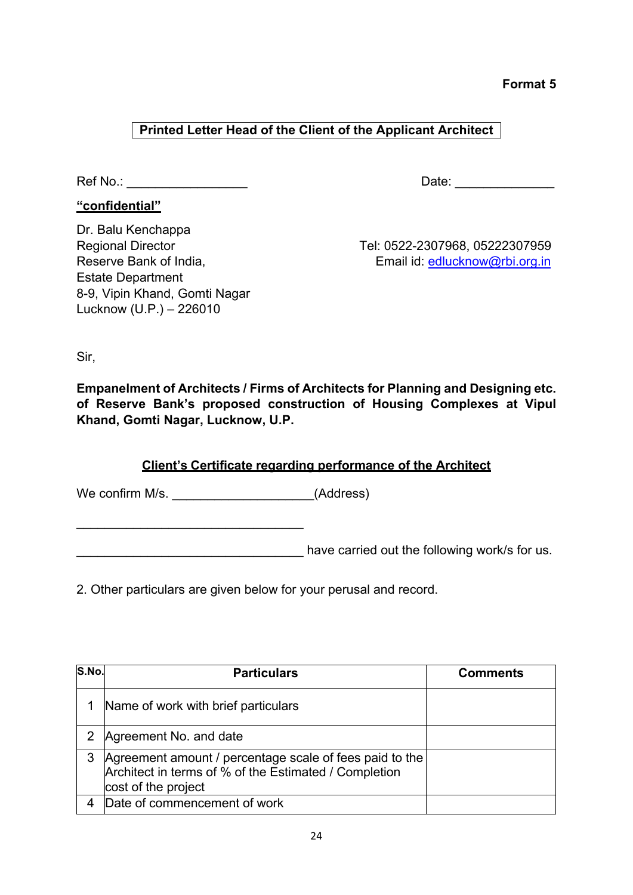**Format 5** 

# **Printed Letter Head of the Client of the Applicant Architect**

**"confidential"**

Ref No.: \_\_\_\_\_\_\_\_\_\_\_\_\_\_\_\_\_ Date: \_\_\_\_\_\_\_\_\_\_\_\_\_\_

Dr. Balu Kenchappa Estate Department 8-9, Vipin Khand, Gomti Nagar Lucknow (U.P.) – 226010

Regional Director Tel: 0522-2307968, 05222307959 Reserve Bank of India, The Contract of Lines and Email id: [edlucknow@rbi.org.in](mailto:edlucknow@rbi.org.in)

Sir,

**Empanelment of Architects / Firms of Architects for Planning and Designing etc. of Reserve Bank's proposed construction of Housing Complexes at Vipul Khand, Gomti Nagar, Lucknow, U.P.**

## **Client's Certificate regarding performance of the Architect**

We confirm M/s. \_\_\_\_\_\_\_\_\_\_\_\_\_\_\_\_\_\_\_\_\_\_\_\_(Address)

\_\_\_\_\_\_\_\_\_\_\_\_\_\_\_\_\_\_\_\_\_\_\_\_\_\_\_\_\_\_\_\_

determinative carried out the following work/s for us.

2. Other particulars are given below for your perusal and record.

| S.No. | <b>Particulars</b>                                                                                                                      | <b>Comments</b> |
|-------|-----------------------------------------------------------------------------------------------------------------------------------------|-----------------|
|       | Name of work with brief particulars                                                                                                     |                 |
|       | Agreement No. and date                                                                                                                  |                 |
| 3     | Agreement amount / percentage scale of fees paid to the<br>Architect in terms of % of the Estimated / Completion<br>cost of the project |                 |
|       | Date of commencement of work                                                                                                            |                 |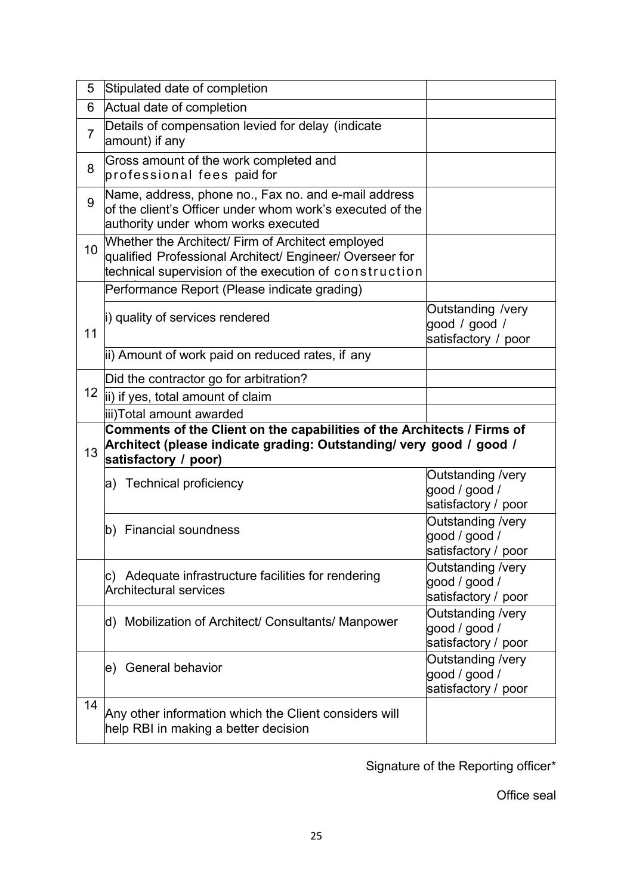| 5               | Stipulated date of completion                                                                                                                                           |                                                           |  |  |
|-----------------|-------------------------------------------------------------------------------------------------------------------------------------------------------------------------|-----------------------------------------------------------|--|--|
| 6               | Actual date of completion                                                                                                                                               |                                                           |  |  |
| $\overline{7}$  | Details of compensation levied for delay (indicate<br>amount) if any                                                                                                    |                                                           |  |  |
| 8               | Gross amount of the work completed and<br>professional fees paid for                                                                                                    |                                                           |  |  |
| 9               | Name, address, phone no., Fax no. and e-mail address<br>of the client's Officer under whom work's executed of the<br>authority under whom works executed                |                                                           |  |  |
| 10 <sup>1</sup> | Whether the Architect/ Firm of Architect employed<br>qualified Professional Architect/ Engineer/ Overseer for<br>technical supervision of the execution of construction |                                                           |  |  |
|                 | Performance Report (Please indicate grading)                                                                                                                            |                                                           |  |  |
| 11              | i) quality of services rendered                                                                                                                                         | Outstanding /very<br>good / good /<br>satisfactory / poor |  |  |
|                 | ii) Amount of work paid on reduced rates, if any                                                                                                                        |                                                           |  |  |
|                 | Did the contractor go for arbitration?                                                                                                                                  |                                                           |  |  |
| 12 <sub>2</sub> | ii) if yes, total amount of claim                                                                                                                                       |                                                           |  |  |
|                 | iii)Total amount awarded                                                                                                                                                |                                                           |  |  |
| 13              | Comments of the Client on the capabilities of the Architects / Firms of<br>Architect (please indicate grading: Outstanding/ very good / good /<br>satisfactory / poor)  |                                                           |  |  |
|                 | a) Technical proficiency                                                                                                                                                | Outstanding /very<br>good / good /<br>satisfactory / poor |  |  |
|                 | b) Financial soundness                                                                                                                                                  | Outstanding /very<br>good / good /<br>satisfactory / poor |  |  |
|                 | c) Adequate infrastructure facilities for rendering<br><b>Architectural services</b>                                                                                    | Outstanding /very<br>good / good /<br>satisfactory / poor |  |  |
|                 | d) Mobilization of Architect/ Consultants/ Manpower                                                                                                                     | Outstanding /very<br>good / good /<br>satisfactory / poor |  |  |
|                 | e) General behavior                                                                                                                                                     | Outstanding /very<br>good / good /<br>satisfactory / poor |  |  |
| 14              | Any other information which the Client considers will                                                                                                                   |                                                           |  |  |

Signature of the Reporting officer\*

Office seal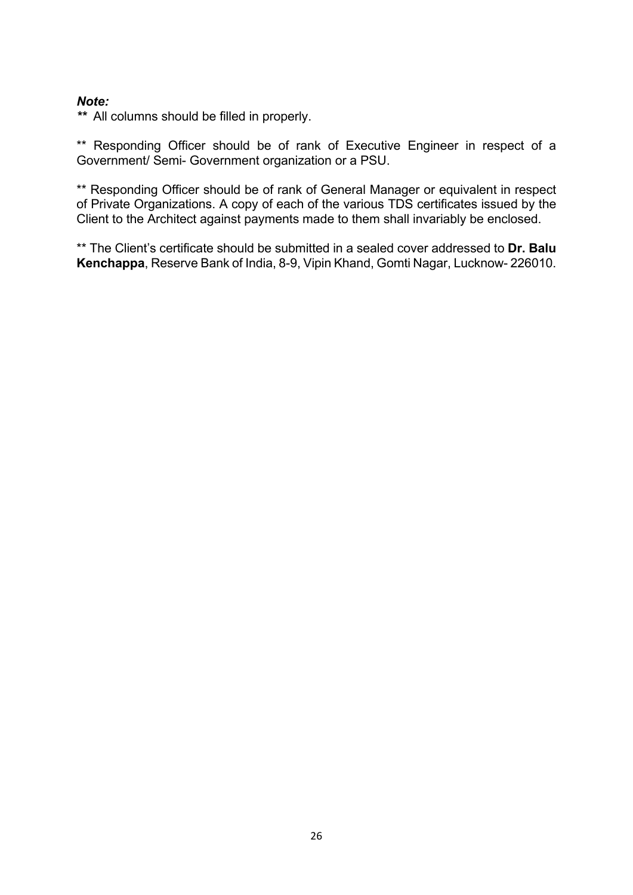#### *Note:*

*\*\** All columns should be filled in properly.

\*\* Responding Officer should be of rank of Executive Engineer in respect of a Government/ Semi- Government organization or a PSU.

\*\* Responding Officer should be of rank of General Manager or equivalent in respect of Private Organizations. A copy of each of the various TDS certificates issued by the Client to the Architect against payments made to them shall invariably be enclosed.

\*\* The Client's certificate should be submitted in a sealed cover addressed to **Dr. Balu Kenchappa**, Reserve Bank of India, 8-9, Vipin Khand, Gomti Nagar, Lucknow- 226010.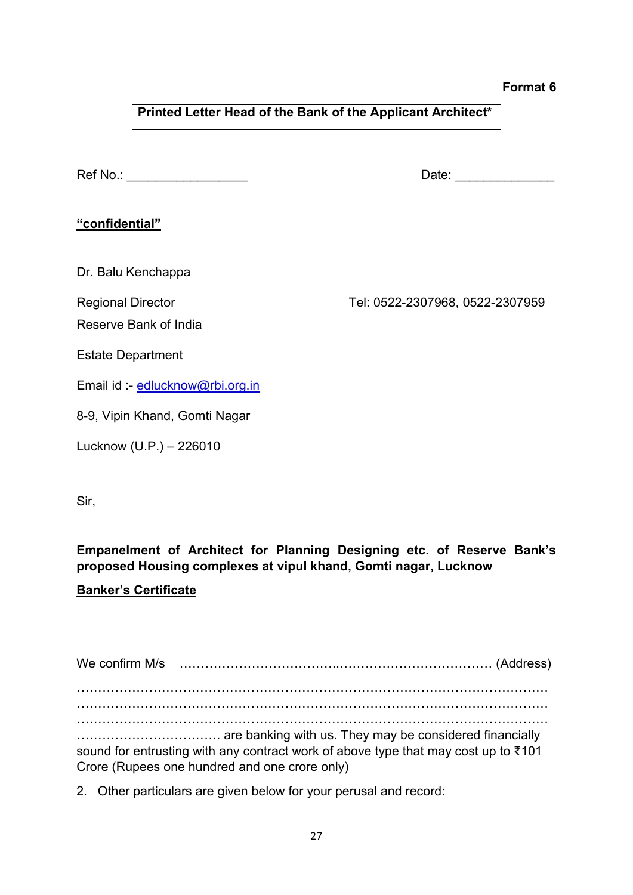#### **Format 6**

**Printed Letter Head of the Bank of the Applicant Architect\***

Ref No.: \_\_\_\_\_\_\_\_\_\_\_\_\_\_\_\_\_ Date: \_\_\_\_\_\_\_\_\_\_\_\_\_\_

### **"confidential"**

Dr. Balu Kenchappa

Reserve Bank of India

Regional Director Tel: 0522-2307968, 0522-2307959

Estate Department

Email id :- [edlucknow@rbi.org.in](mailto:edlucknow@rbi.org.in)

8-9, Vipin Khand, Gomti Nagar

Lucknow (U.P.) – 226010

Sir,

**Empanelment of Architect for Planning Designing etc. of Reserve Bank's proposed Housing complexes at vipul khand, Gomti nagar, Lucknow**

### **Banker's Certificate**

We confirm M/s ………………………………..……………………………… (Address) ………………………………………………………………………………………………… ………………………………………………………………………………………………… ………………………………………………………………………………………………… ……………………………. are banking with us. They may be considered financially sound for entrusting with any contract work of above type that may cost up to ₹101 Crore (Rupees one hundred and one crore only)

2. Other particulars are given below for your perusal and record: